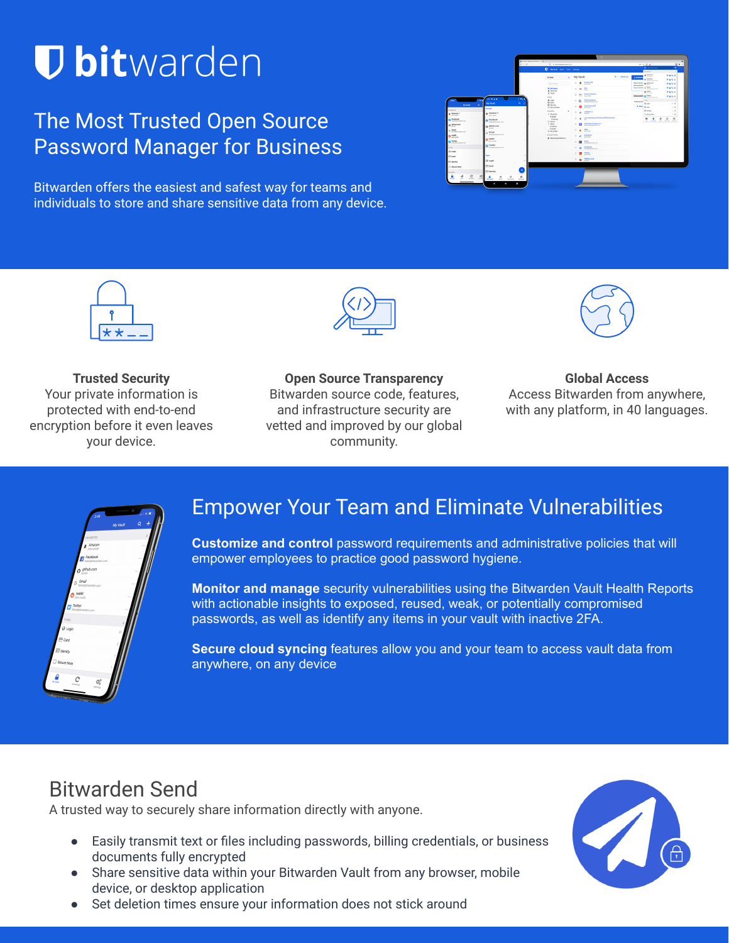# **U bit**warden

# The Most Trusted Open Source Password Manager for Business

Bitwarden offers the easiest and safest way for teams and individuals to store and share sensitive data from any device.





**Trusted Security** Your private information is protected with end-to-end encryption before it even leaves your device.



**Open Source Transparency** Bitwarden source code, features, and infrastructure security are vetted and improved by our global community.



**Global Access** Access Bitwarden from anywhere, with any platform, in 40 languages.



# Empower Your Team and Eliminate Vulnerabilities

**Customize and control** password requirements and administrative policies that will empower employees to practice good password hygiene.

**Monitor and manage** security vulnerabilities using the Bitwarden Vault Health Reports with actionable insights to exposed, reused, weak, or potentially compromised passwords, as well as identify any items in your vault with inactive 2FA.

**Secure cloud syncing** features allow you and your team to access vault data from anywhere, on any device

# Bitwarden Send

A trusted way to securely share information directly with anyone.

- Easily transmit text or files including passwords, billing credentials, or business documents fully encrypted
- Share sensitive data within your Bitwarden Vault from any browser, mobile device, or desktop application
- Set deletion times ensure your information does not stick around